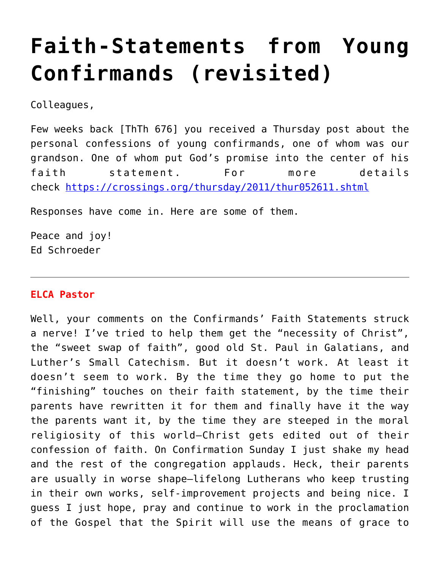# **[Faith-Statements from Young](https://crossings.org/faith-statements-from-young-confirmands-revisited/) [Confirmands \(revisited\)](https://crossings.org/faith-statements-from-young-confirmands-revisited/)**

Colleagues,

Few weeks back [ThTh 676] you received a Thursday post about the personal confessions of young confirmands, one of whom was our grandson. One of whom put God's promise into the center of his faith statement. For more details check<https://crossings.org/thursday/2011/thur052611.shtml>

Responses have come in. Here are some of them.

Peace and joy! Ed Schroeder

## **ELCA Pastor**

Well, your comments on the Confirmands' Faith Statements struck a nerve! I've tried to help them get the "necessity of Christ", the "sweet swap of faith", good old St. Paul in Galatians, and Luther's Small Catechism. But it doesn't work. At least it doesn't seem to work. By the time they go home to put the "finishing" touches on their faith statement, by the time their parents have rewritten it for them and finally have it the way the parents want it, by the time they are steeped in the moral religiosity of this world–Christ gets edited out of their confession of faith. On Confirmation Sunday I just shake my head and the rest of the congregation applauds. Heck, their parents are usually in worse shape–lifelong Lutherans who keep trusting in their own works, self-improvement projects and being nice. I guess I just hope, pray and continue to work in the proclamation of the Gospel that the Spirit will use the means of grace to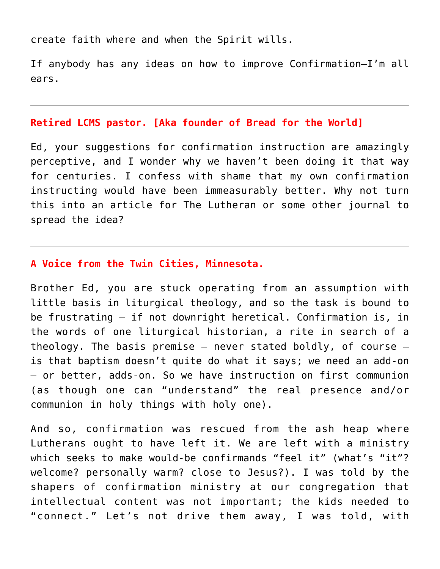create faith where and when the Spirit wills.

If anybody has any ideas on how to improve Confirmation–I'm all ears.

#### **Retired LCMS pastor. [Aka founder of Bread for the World]**

Ed, your suggestions for confirmation instruction are amazingly perceptive, and I wonder why we haven't been doing it that way for centuries. I confess with shame that my own confirmation instructing would have been immeasurably better. Why not turn this into an article for The Lutheran or some other journal to spread the idea?

## **A Voice from the Twin Cities, Minnesota.**

Brother Ed, you are stuck operating from an assumption with little basis in liturgical theology, and so the task is bound to be frustrating — if not downright heretical. Confirmation is, in the words of one liturgical historian, a rite in search of a theology. The basis premise  $-$  never stated boldly, of course  $$ is that baptism doesn't quite do what it says; we need an add-on — or better, adds-on. So we have instruction on first communion (as though one can "understand" the real presence and/or communion in holy things with holy one).

And so, confirmation was rescued from the ash heap where Lutherans ought to have left it. We are left with a ministry which seeks to make would-be confirmands "feel it" (what's "it"? welcome? personally warm? close to Jesus?). I was told by the shapers of confirmation ministry at our congregation that intellectual content was not important; the kids needed to "connect." Let's not drive them away, I was told, with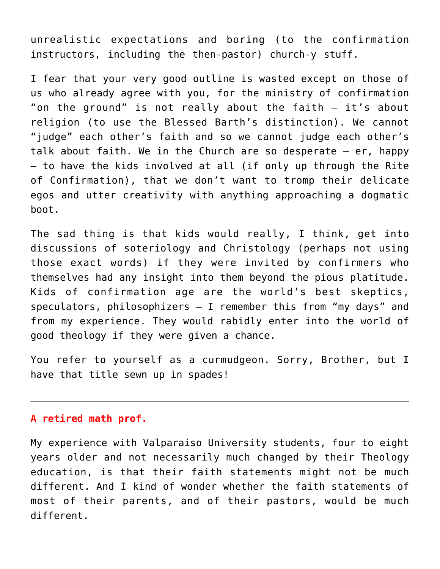unrealistic expectations and boring (to the confirmation instructors, including the then-pastor) church-y stuff.

I fear that your very good outline is wasted except on those of us who already agree with you, for the ministry of confirmation "on the ground" is not really about the faith — it's about religion (to use the Blessed Barth's distinction). We cannot "judge" each other's faith and so we cannot judge each other's talk about faith. We in the Church are so desperate  $-$  er, happy — to have the kids involved at all (if only up through the Rite of Confirmation), that we don't want to tromp their delicate egos and utter creativity with anything approaching a dogmatic boot.

The sad thing is that kids would really, I think, get into discussions of soteriology and Christology (perhaps not using those exact words) if they were invited by confirmers who themselves had any insight into them beyond the pious platitude. Kids of confirmation age are the world's best skeptics, speculators, philosophizers — I remember this from "my days" and from my experience. They would rabidly enter into the world of good theology if they were given a chance.

You refer to yourself as a curmudgeon. Sorry, Brother, but I have that title sewn up in spades!

### **A retired math prof.**

My experience with Valparaiso University students, four to eight years older and not necessarily much changed by their Theology education, is that their faith statements might not be much different. And I kind of wonder whether the faith statements of most of their parents, and of their pastors, would be much different.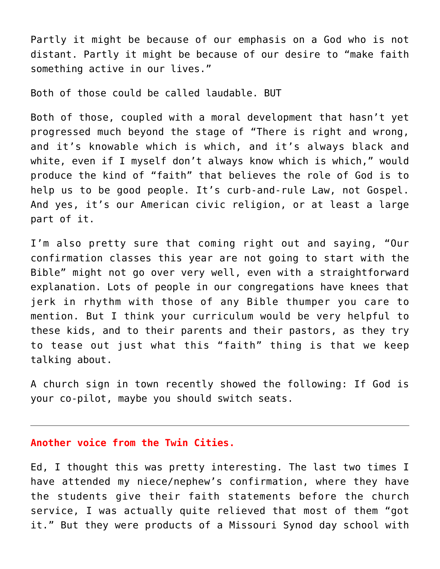Partly it might be because of our emphasis on a God who is not distant. Partly it might be because of our desire to "make faith something active in our lives."

Both of those could be called laudable. BUT

Both of those, coupled with a moral development that hasn't yet progressed much beyond the stage of "There is right and wrong, and it's knowable which is which, and it's always black and white, even if I myself don't always know which is which," would produce the kind of "faith" that believes the role of God is to help us to be good people. It's curb-and-rule Law, not Gospel. And yes, it's our American civic religion, or at least a large part of it.

I'm also pretty sure that coming right out and saying, "Our confirmation classes this year are not going to start with the Bible" might not go over very well, even with a straightforward explanation. Lots of people in our congregations have knees that jerk in rhythm with those of any Bible thumper you care to mention. But I think your curriculum would be very helpful to these kids, and to their parents and their pastors, as they try to tease out just what this "faith" thing is that we keep talking about.

A church sign in town recently showed the following: If God is your co-pilot, maybe you should switch seats.

#### **Another voice from the Twin Cities.**

Ed, I thought this was pretty interesting. The last two times I have attended my niece/nephew's confirmation, where they have the students give their faith statements before the church service, I was actually quite relieved that most of them "got it." But they were products of a Missouri Synod day school with